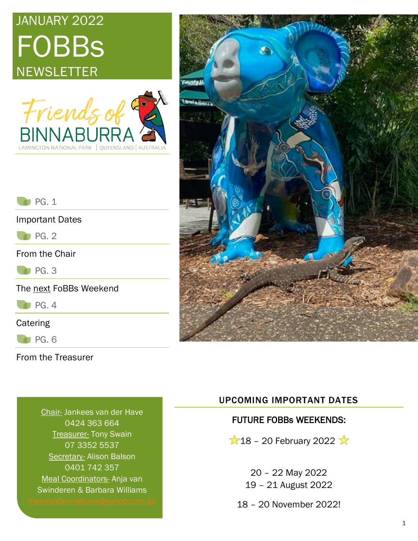# JANUARY 2022 **FOBBs NEWSLETTER**





 $\bigcap$  PG. 1

Important Dates

 $\bigcap$  PG. 2

From the Chair

**PG. 3** 

The next FoBBs Weekend

 $P$ G. 4

**Catering** 

 $P<sub>G. 6</sub>$ 

From the Treasurer

Chair- Jankees van der Have 0424 363 664 **Treasurer- Tony Swain** 07 3352 5537 Secretary- Alison Balson 0401 742 357 Meal Coordinators- Anja van Swinderen & Barbara Williams

### UPCOMING IMPORTANT DATES

### FUTURE FOBBs WEEKENDS:

 $\bigstar$  18 – 20 February 2022

20 – 22 May 2022 19 – 21 August 2022

18 – 20 November 2022!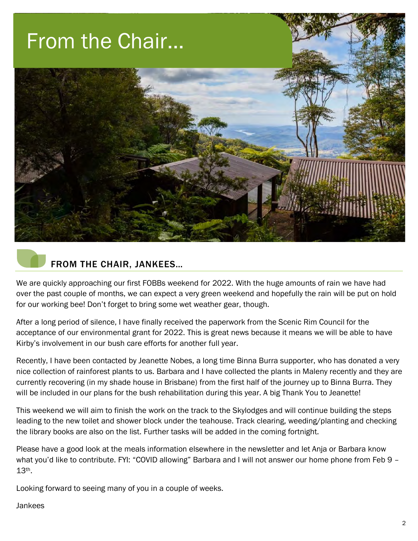

### FROM THE CHAIR, JANKEES…

We are quickly approaching our first FOBBs weekend for 2022. With the huge amounts of rain we have had over the past couple of months, we can expect a very green weekend and hopefully the rain will be put on hold for our working bee! Don't forget to bring some wet weather gear, though.

After a long period of silence, I have finally received the paperwork from the Scenic Rim Council for the acceptance of our environmental grant for 2022. This is great news because it means we will be able to have Kirby's involvement in our bush care efforts for another full year.

Recently, I have been contacted by Jeanette Nobes, a long time Binna Burra supporter, who has donated a very nice collection of rainforest plants to us. Barbara and I have collected the plants in Maleny recently and they are currently recovering (in my shade house in Brisbane) from the first half of the journey up to Binna Burra. They will be included in our plans for the bush rehabilitation during this year. A big Thank You to Jeanette!

This weekend we will aim to finish the work on the track to the Skylodges and will continue building the steps leading to the new toilet and shower block under the teahouse. Track clearing, weeding/planting and checking the library books are also on the list. Further tasks will be added in the coming fortnight.

Please have a good look at the meals information elsewhere in the newsletter and let Anja or Barbara know what you'd like to contribute. FYI: "COVID allowing" Barbara and I will not answer our home phone from Feb 9 -13th.

Looking forward to seeing many of you in a couple of weeks.

Jankees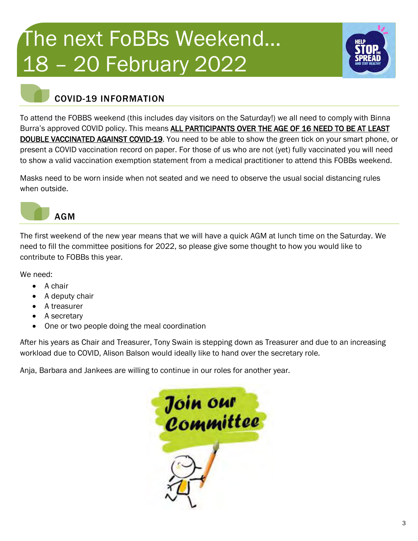# The next FoBBs Weekend… 18 – 20 February 2022



### COVID-19 INFORMATION

To attend the FOBBS weekend (this includes day visitors on the Saturday!) we all need to comply with Binna Burra's approved COVID policy. This means ALL PARTICIPANTS OVER THE AGE OF 16 NEED TO BE AT LEAST DOUBLE VACCINATED AGAINST COVID-19. You need to be able to show the green tick on your smart phone, or present a COVID vaccination record on paper. For those of us who are not (yet) fully vaccinated you will need to show a valid vaccination exemption statement from a medical practitioner to attend this FOBBs weekend.

Masks need to be worn inside when not seated and we need to observe the usual social distancing rules when outside.



The first weekend of the new year means that we will have a quick AGM at lunch time on the Saturday. We need to fill the committee positions for 2022, so please give some thought to how you would like to contribute to FOBBs this year.

We need:

- A chair
- A deputy chair
- A treasurer
- A secretary
- One or two people doing the meal coordination

After his years as Chair and Treasurer, Tony Swain is stepping down as Treasurer and due to an increasing workload due to COVID, Alison Balson would ideally like to hand over the secretary role.

Anja, Barbara and Jankees are willing to continue in our roles for another year.

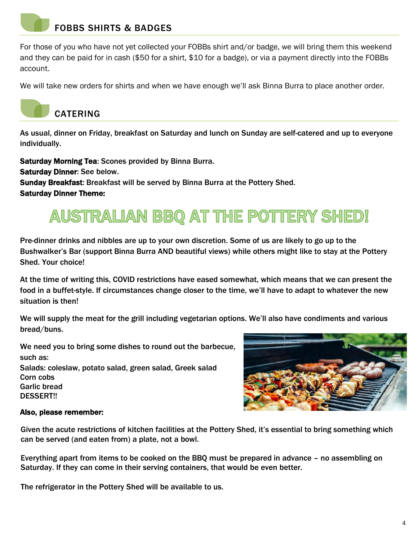### FOBBS SHIRTS & BADGES

For those of you who have not yet collected your FOBBs shirt and/or badge, we will bring them this weekend and they can be paid for in cash (\$50 for a shirt, \$10 for a badge), or via a payment directly into the FOBBs account.

We will take new orders for shirts and when we have enough we'll ask Binna Burra to place another order.



As usual, dinner on Friday, breakfast on Saturday and lunch on Sunday are self-catered and up to everyone individually.

Saturday Morning Tea: Scones provided by Binna Burra. Saturday Dinner: See below. Sunday Breakfast: Breakfast will be served by Binna Burra at the Pottery Shed. Saturday Dinner Theme:

## AUSTRALIAN BBQ AT THE POTTERY SHED!

Pre-dinner drinks and nibbles are up to your own discretion. Some of us are likely to go up to the Bushwalker's Bar (support Binna Burra AND beautiful views) while others might like to stay at the Pottery Shed. Your choice!

At the time of writing this, COVID restrictions have eased somewhat, which means that we can present the food in a buffet-style. If circumstances change closer to the time, we'll have to adapt to whatever the new situation is then!

We will supply the meat for the grill including vegetarian options. We'll also have condiments and various bread/buns.

We need you to bring some dishes to round out the barbecue, such as: Salads: coleslaw, potato salad, green salad, Greek salad Corn cobs Garlic bread DESSERT!!



#### Also, please remember:

• Given the acute restrictions of kitchen facilities at the Pottery Shed, it's essential to bring something which can be served (and eaten from) a plate, not a bowl.

• Everything apart from items to be cooked on the BBQ must be prepared in advance – no assembling on Saturday. If they can come in their serving containers, that would be even better.

The refrigerator in the Pottery Shed will be available to us.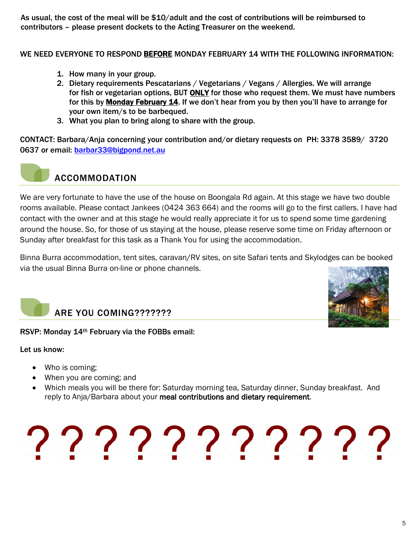• As usual, the cost of the meal will be \$10/adult and the cost of contributions will be reimbursed to contributors – please present dockets to the Acting Treasurer on the weekend.

WE NEED EVERYONE TO RESPOND BEFORE MONDAY FEBRUARY 14 WITH THE FOLLOWING INFORMATION:

- 1. How many in your group.
- 2. Dietary requirements Pescatarians / Vegetarians / Vegans / Allergies. We will arrange for fish or vegetarian options, BUT ONLY for those who request them. We must have numbers for this by Monday February 14. If we don't hear from you by then you'll have to arrange for your own item/s to be barbequed.
- 3. What you plan to bring along to share with the group.

CONTACT: Barbara/Anja concerning your contribution and/or dietary requests on PH: 3378 3589/ 3720 0637 or email: barbar33@bigpond.net.au



### ACCOMMODATION

We are very fortunate to have the use of the house on Boongala Rd again. At this stage we have two double rooms available. Please contact Jankees (0424 363 664) and the rooms will go to the first callers. I have had contact with the owner and at this stage he would really appreciate it for us to spend some time gardening around the house. So, for those of us staying at the house, please reserve some time on Friday afternoon or Sunday after breakfast for this task as a Thank You for using the accommodation.

Binna Burra accommodation, tent sites, caravan/RV sites, on site Safari tents and Skylodges can be booked via the usual Binna Burra on-line or phone channels.



## ARE YOU COMING???????

#### RSVP: Monday 14th February via the FOBBs email:

Let us know:

- Who is coming;
- When you are coming; and
- Which meals you will be there for: Saturday morning tea, Saturday dinner, Sunday breakfast. And reply to Anja/Barbara about your meal contributions and dietary requirement.